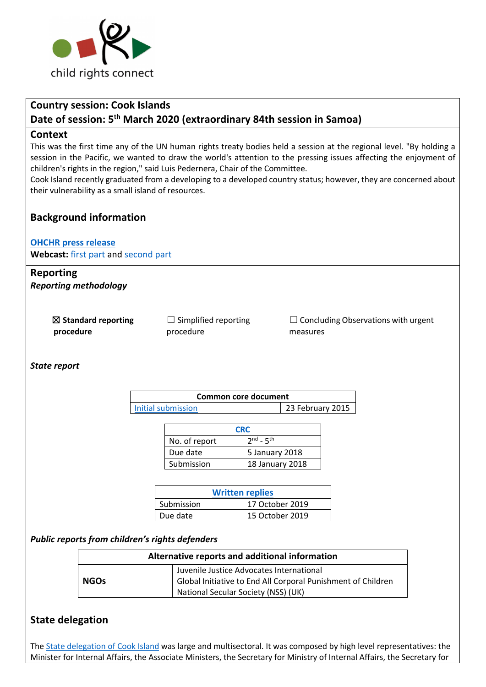

# **Country session: Cook Islands Date of session: 5th March 2020 (extraordinary 84th session in Samoa)**

### **Context**

This was the first time any of the UN human rights treaty bodies held a session at the regional level. "By holding a session in the Pacific, we wanted to draw the world's attention to the pressing issues affecting the enjoyment of children's rights in the region," said Luis Pedernera, Chair of the Committee.

Cook Island recently graduated from a developing to a developed country status; however, they are concerned about their vulnerability as a small island of resources.

## **Background information**

#### **OHCHR press release**

**Webcast:** first part and second part

### **Reporting**  *Reporting methodology*

☒ **Standard reporting procedure** 

 $\Box$  Simplified reporting procedure

 $\Box$  Concluding Observations with urgent measures

*State report*

| Common core document |                  |
|----------------------|------------------|
| Initial submission   | 23 February 2015 |

| <b>CRC</b>    |                 |  |
|---------------|-----------------|--|
| No. of report | $2nd - 5th$     |  |
| Due date      | 5 January 2018  |  |
| Submission    | 18 January 2018 |  |

| <b>Written replies</b> |                 |  |
|------------------------|-----------------|--|
| Submission             | 17 October 2019 |  |
| Due date               | 15 October 2019 |  |

#### *Public reports from children's rights defenders*

| Alternative reports and additional information |                                                                                                          |  |
|------------------------------------------------|----------------------------------------------------------------------------------------------------------|--|
| NGOs                                           | Juvenile Justice Advocates International<br>Global Initiative to End All Corporal Punishment of Children |  |
|                                                | National Secular Society (NSS) (UK)                                                                      |  |

## **State delegation**

The State delegation of Cook Island was large and multisectoral. It was composed by high level representatives: the Minister for Internal Affairs, the Associate Ministers, the Secretary for Ministry of Internal Affairs, the Secretary for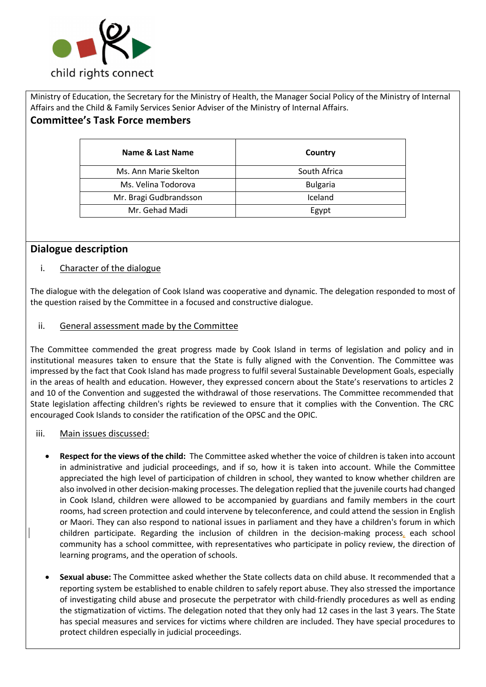

Ministry of Education, the Secretary for the Ministry of Health, the Manager Social Policy of the Ministry of Internal Affairs and the Child & Family Services Senior Adviser of the Ministry of Internal Affairs.

# **Committee's Task Force members**

| Name & Last Name       | Country         |
|------------------------|-----------------|
| Ms. Ann Marie Skelton  | South Africa    |
| Ms. Velina Todorova    | <b>Bulgaria</b> |
| Mr. Bragi Gudbrandsson | Iceland         |
| Mr. Gehad Madi         | Egypt           |

# **Dialogue description**

## i. Character of the dialogue

The dialogue with the delegation of Cook Island was cooperative and dynamic. The delegation responded to most of the question raised by the Committee in a focused and constructive dialogue.

## ii. General assessment made by the Committee

The Committee commended the great progress made by Cook Island in terms of legislation and policy and in institutional measures taken to ensure that the State is fully aligned with the Convention. The Committee was impressed by the fact that Cook Island has made progress to fulfil several Sustainable Development Goals, especially in the areas of health and education. However, they expressed concern about the State's reservations to articles 2 and 10 of the Convention and suggested the withdrawal of those reservations. The Committee recommended that State legislation affecting children's rights be reviewed to ensure that it complies with the Convention. The CRC encouraged Cook Islands to consider the ratification of the OPSC and the OPIC.

## iii. Main issues discussed:

- **Respect for the views of the child:** The Committee asked whether the voice of children is taken into account in administrative and judicial proceedings, and if so, how it is taken into account. While the Committee appreciated the high level of participation of children in school, they wanted to know whether children are also involved in other decision-making processes. The delegation replied that the juvenile courts had changed in Cook Island, children were allowed to be accompanied by guardians and family members in the court rooms, had screen protection and could intervene by teleconference, and could attend the session in English or Maori. They can also respond to national issues in parliament and they have a children's forum in which children participate. Regarding the inclusion of children in the decision-making process, each school community has a school committee, with representatives who participate in policy review, the direction of learning programs, and the operation of schools.
- **Sexual abuse:** The Committee asked whether the State collects data on child abuse. It recommended that a reporting system be established to enable children to safely report abuse. They also stressed the importance of investigating child abuse and prosecute the perpetrator with child-friendly procedures as well as ending the stigmatization of victims. The delegation noted that they only had 12 cases in the last 3 years. The State has special measures and services for victims where children are included. They have special procedures to protect children especially in judicial proceedings.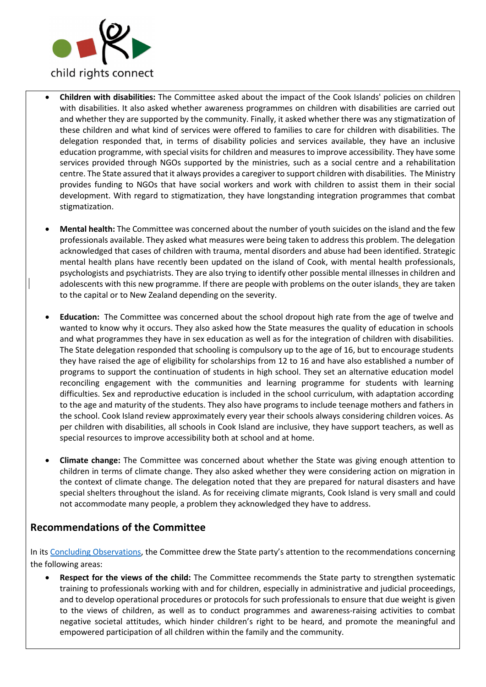

- **Children with disabilities:** The Committee asked about the impact of the Cook Islands' policies on children with disabilities. It also asked whether awareness programmes on children with disabilities are carried out and whether they are supported by the community. Finally, it asked whether there was any stigmatization of these children and what kind of services were offered to families to care for children with disabilities. The delegation responded that, in terms of disability policies and services available, they have an inclusive education programme, with special visits for children and measures to improve accessibility. They have some services provided through NGOs supported by the ministries, such as a social centre and a rehabilitation centre. The State assured that it always provides a caregiver to support children with disabilities. The Ministry provides funding to NGOs that have social workers and work with children to assist them in their social development. With regard to stigmatization, they have longstanding integration programmes that combat stigmatization.
- **Mental health:** The Committee was concerned about the number of youth suicides on the island and the few professionals available. They asked what measures were being taken to address this problem. The delegation acknowledged that cases of children with trauma, mental disorders and abuse had been identified. Strategic mental health plans have recently been updated on the island of Cook, with mental health professionals, psychologists and psychiatrists. They are also trying to identify other possible mental illnesses in children and adolescents with this new programme. If there are people with problems on the outer islands, they are taken to the capital or to New Zealand depending on the severity.
- **Education:** The Committee was concerned about the school dropout high rate from the age of twelve and wanted to know why it occurs. They also asked how the State measures the quality of education in schools and what programmes they have in sex education as well as for the integration of children with disabilities. The State delegation responded that schooling is compulsory up to the age of 16, but to encourage students they have raised the age of eligibility for scholarships from 12 to 16 and have also established a number of programs to support the continuation of students in high school. They set an alternative education model reconciling engagement with the communities and learning programme for students with learning difficulties. Sex and reproductive education is included in the school curriculum, with adaptation according to the age and maturity of the students. They also have programs to include teenage mothers and fathers in the school. Cook Island review approximately every year their schools always considering children voices. As per children with disabilities, all schools in Cook Island are inclusive, they have support teachers, as well as special resources to improve accessibility both at school and at home.
- **Climate change:** The Committee was concerned about whether the State was giving enough attention to children in terms of climate change. They also asked whether they were considering action on migration in the context of climate change. The delegation noted that they are prepared for natural disasters and have special shelters throughout the island. As for receiving climate migrants, Cook Island is very small and could not accommodate many people, a problem they acknowledged they have to address.

## **Recommendations of the Committee**

In its Concluding Observations, the Committee drew the State party's attention to the recommendations concerning the following areas:

• **Respect for the views of the child:** The Committee recommends the State party to strengthen systematic training to professionals working with and for children, especially in administrative and judicial proceedings, and to develop operational procedures or protocols for such professionals to ensure that due weight is given to the views of children, as well as to conduct programmes and awareness-raising activities to combat negative societal attitudes, which hinder children's right to be heard, and promote the meaningful and empowered participation of all children within the family and the community.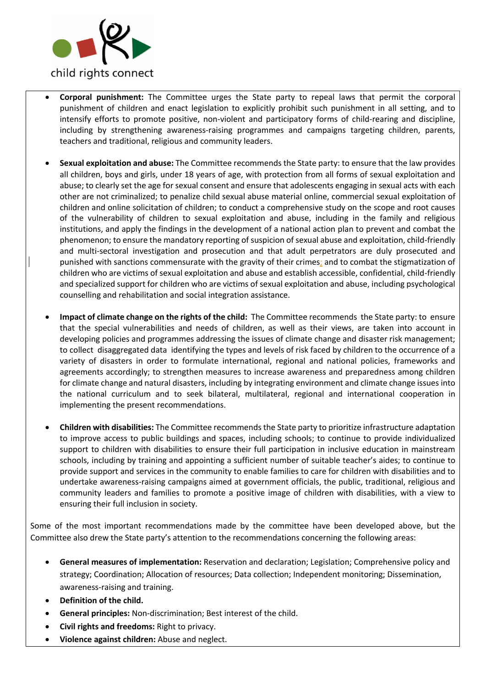

- **Corporal punishment:** The Committee urges the State party to repeal laws that permit the corporal punishment of children and enact legislation to explicitly prohibit such punishment in all setting, and to intensify efforts to promote positive, non-violent and participatory forms of child-rearing and discipline, including by strengthening awareness-raising programmes and campaigns targeting children, parents, teachers and traditional, religious and community leaders.
- **Sexual exploitation and abuse:** The Committee recommends the State party: to ensure that the law provides all children, boys and girls, under 18 years of age, with protection from all forms of sexual exploitation and abuse; to clearly set the age for sexual consent and ensure that adolescents engaging in sexual acts with each other are not criminalized; to penalize child sexual abuse material online, commercial sexual exploitation of children and online solicitation of children; to conduct a comprehensive study on the scope and root causes of the vulnerability of children to sexual exploitation and abuse, including in the family and religious institutions, and apply the findings in the development of a national action plan to prevent and combat the phenomenon; to ensure the mandatory reporting of suspicion of sexual abuse and exploitation, child-friendly and multi-sectoral investigation and prosecution and that adult perpetrators are duly prosecuted and punished with sanctions commensurate with the gravity of their crimes; and to combat the stigmatization of children who are victims of sexual exploitation and abuse and establish accessible, confidential, child-friendly and specialized support for children who are victims of sexual exploitation and abuse, including psychological counselling and rehabilitation and social integration assistance.
- **Impact of climate change on the rights of the child:** The Committee recommends the State party: to ensure that the special vulnerabilities and needs of children, as well as their views, are taken into account in developing policies and programmes addressing the issues of climate change and disaster risk management; to collect disaggregated data identifying the types and levels of risk faced by children to the occurrence of a variety of disasters in order to formulate international, regional and national policies, frameworks and agreements accordingly; to strengthen measures to increase awareness and preparedness among children for climate change and natural disasters, including by integrating environment and climate change issues into the national curriculum and to seek bilateral, multilateral, regional and international cooperation in implementing the present recommendations.
- **Children with disabilities:** The Committee recommends the State party to prioritize infrastructure adaptation to improve access to public buildings and spaces, including schools; to continue to provide individualized support to children with disabilities to ensure their full participation in inclusive education in mainstream schools, including by training and appointing a sufficient number of suitable teacher's aides; to continue to provide support and services in the community to enable families to care for children with disabilities and to undertake awareness-raising campaigns aimed at government officials, the public, traditional, religious and community leaders and families to promote a positive image of children with disabilities, with a view to ensuring their full inclusion in society.

Some of the most important recommendations made by the committee have been developed above, but the Committee also drew the State party's attention to the recommendations concerning the following areas:

- **General measures of implementation:** Reservation and declaration; Legislation; Comprehensive policy and strategy; Coordination; Allocation of resources; Data collection; Independent monitoring; Dissemination, awareness-raising and training.
- **Definition of the child.**
- **General principles:** Non-discrimination; Best interest of the child.
- **Civil rights and freedoms:** Right to privacy.
- **Violence against children:** Abuse and neglect.